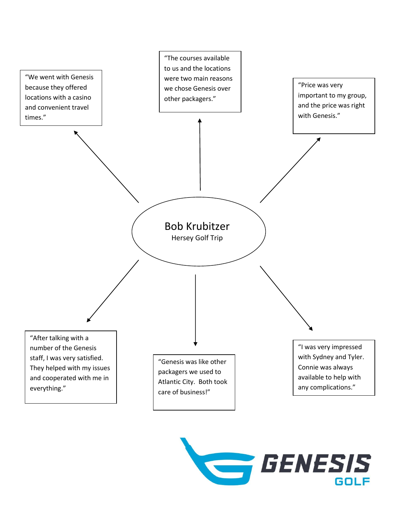

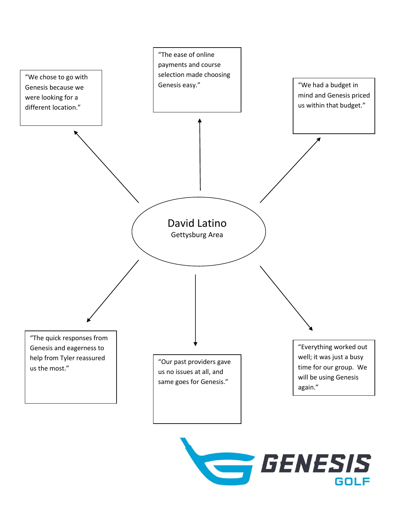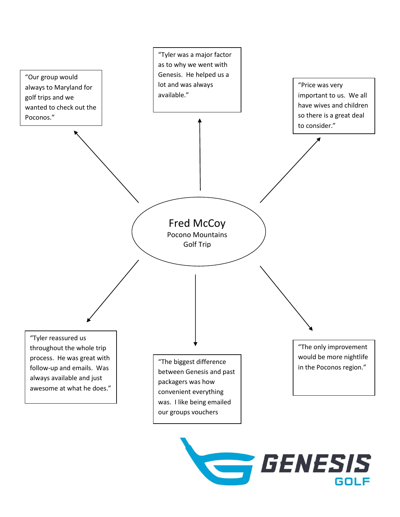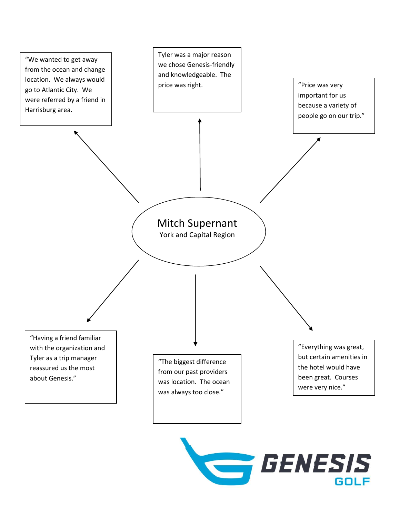